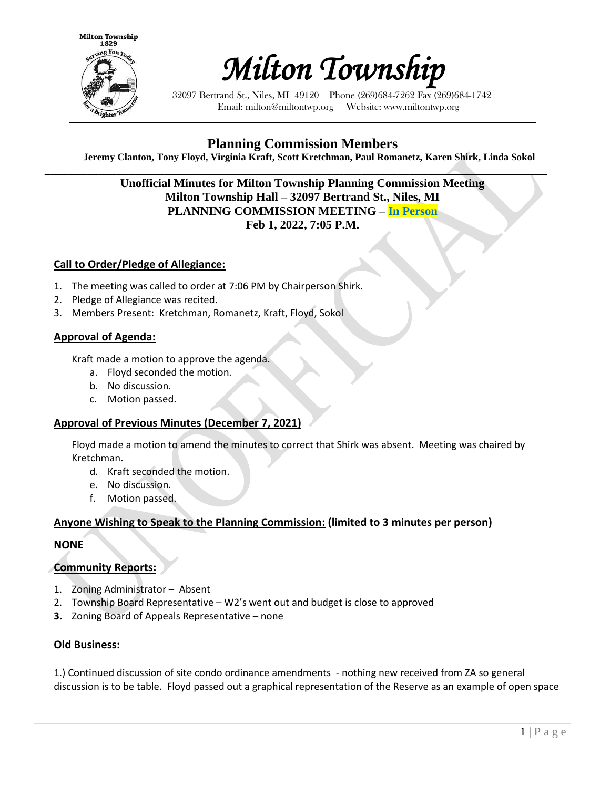



32097 Bertrand St., Niles, MI 49120 Phone (269)684-7262 Fax (269)684-1742 Email: milton@miltontwp.org Website: www.miltontwp.org

# **Planning Commission Members**

**Jeremy Clanton, Tony Floyd, Virginia Kraft, Scott Kretchman, Paul Romanetz, Karen Shirk, Linda Sokol**

**\_\_\_\_\_\_\_\_\_\_\_\_\_\_\_\_\_\_\_\_\_\_\_\_\_\_\_\_\_\_\_\_\_\_\_\_\_\_\_\_\_\_\_\_\_\_\_\_\_\_\_\_\_\_\_\_\_\_\_\_\_\_\_\_\_\_\_\_\_\_\_\_\_\_\_\_\_\_\_\_\_\_\_\_ Unofficial Minutes for Milton Township Planning Commission Meeting Milton Township Hall – 32097 Bertrand St., Niles, MI PLANNING COMMISSION MEETING – In Person Feb 1, 2022, 7:05 P.M.** 

#### **Call to Order/Pledge of Allegiance:**

- 1. The meeting was called to order at 7:06 PM by Chairperson Shirk.
- 2. Pledge of Allegiance was recited.
- 3. Members Present: Kretchman, Romanetz, Kraft, Floyd, Sokol

#### **Approval of Agenda:**

Kraft made a motion to approve the agenda.

- a. Floyd seconded the motion.
- b. No discussion.
- c. Motion passed.

#### **Approval of Previous Minutes (December 7, 2021)**

Floyd made a motion to amend the minutes to correct that Shirk was absent. Meeting was chaired by Kretchman.

- d. Kraft seconded the motion.
- e. No discussion.
- f. Motion passed.

#### **Anyone Wishing to Speak to the Planning Commission: (limited to 3 minutes per person)**

#### **NONE**

#### **Community Reports:**

- 1. Zoning Administrator Absent
- 2. Township Board Representative W2's went out and budget is close to approved
- **3.** Zoning Board of Appeals Representative none

#### **Old Business:**

1.) Continued discussion of site condo ordinance amendments - nothing new received from ZA so general discussion is to be table. Floyd passed out a graphical representation of the Reserve as an example of open space